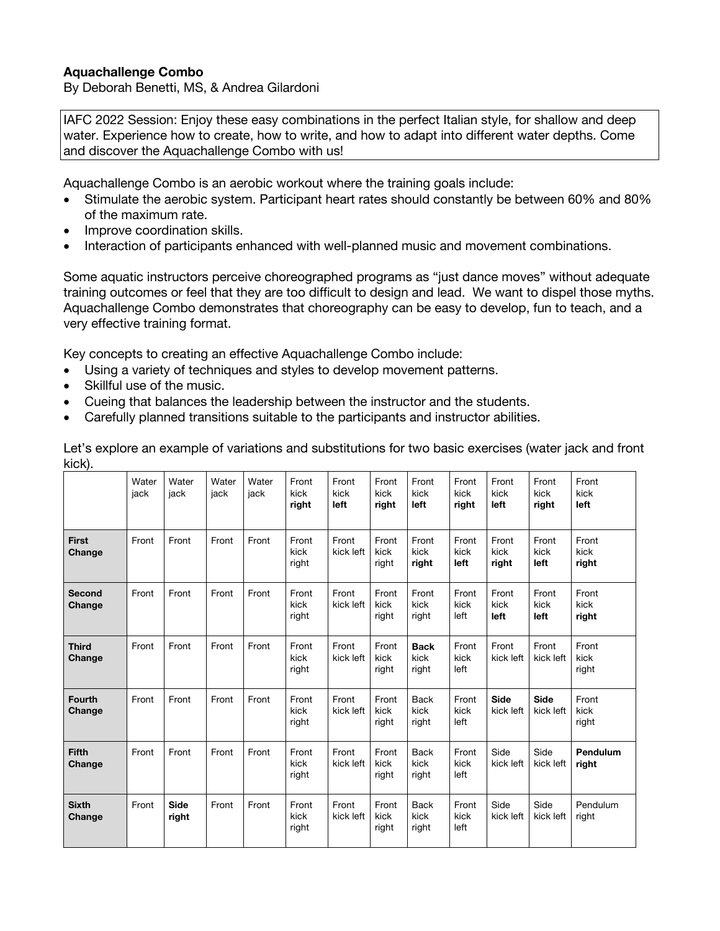## **Aquachallenge Combo**

By Deborah Benetti, MS, & Andrea Gilardoni

IAFC 2022 Session: Enjoy these easy combinations in the perfect Italian style, for shallow and deep water. Experience how to create, how to write, and how to adapt into different water depths. Come and discover the Aquachallenge Combo with us!

Aquachallenge Combo is an aerobic workout where the training goals include:

- Stimulate the aerobic system. Participant heart rates should constantly be between 60% and 80% of the maximum rate.
- Improve coordination skills.
- Interaction of participants enhanced with well-planned music and movement combinations.

Some aquatic instructors perceive choreographed programs as "just dance moves" without adequate training outcomes or feel that they are too difficult to design and lead. We want to dispel those myths. Aquachallenge Combo demonstrates that choreography can be easy to develop, fun to teach, and a very effective training format.

Key concepts to creating an effective Aquachallenge Combo include:

- Using a variety of techniques and styles to develop movement patterns.
- Skillful use of the music.
- Cueing that balances the leadership between the instructor and the students.
- Carefully planned transitions suitable to the participants and instructor abilities.

|                         | Water<br>jack | Water<br>jack | Water<br>jack | Water<br>jack | Front<br>kick<br>right | Front<br>kick<br>left | Front<br>kick<br>right | Front<br>kick<br>left        | Front<br>kick<br>right | Front<br>kick<br>left    | Front<br>kick<br>right   | Front<br>kick<br>left  |
|-------------------------|---------------|---------------|---------------|---------------|------------------------|-----------------------|------------------------|------------------------------|------------------------|--------------------------|--------------------------|------------------------|
| <b>First</b><br>Change  | Front         | Front         | Front         | Front         | Front<br>kick<br>right | Front<br>kick left    | Front<br>kick<br>right | Front<br>kick<br>right       | Front<br>kick<br>left  | Front<br>kick<br>right   | Front<br>kick<br>left    | Front<br>kick<br>right |
| Second<br>Change        | Front         | Front         | Front         | Front         | Front<br>kick<br>right | Front<br>kick left    | Front<br>kick<br>right | Front<br>kick<br>right       | Front<br>kick<br>left  | Front<br>kick<br>left    | Front<br>kick<br>left    | Front<br>kick<br>right |
| <b>Third</b><br>Change  | Front         | Front         | Front         | Front         | Front<br>kick<br>right | Front<br>kick left    | Front<br>kick<br>right | <b>Back</b><br>kick<br>right | Front<br>kick<br>left  | Front<br>kick left       | Front<br>kick left       | Front<br>kick<br>right |
| <b>Fourth</b><br>Change | Front         | Front         | Front         | Front         | Front<br>kick<br>right | Front<br>kick left    | Front<br>kick<br>right | <b>Back</b><br>kick<br>right | Front<br>kick<br>left  | <b>Side</b><br>kick left | <b>Side</b><br>kick left | Front<br>kick<br>right |
| <b>Fifth</b><br>Change  | Front         | Front         | Front         | Front         | Front<br>kick<br>right | Front<br>kick left    | Front<br>kick<br>right | <b>Back</b><br>kick<br>right | Front<br>kick<br>left  | Side<br>kick left        | Side<br>kick left        | Pendulum<br>right      |
| <b>Sixth</b><br>Change  | Front         | Side<br>right | Front         | Front         | Front<br>kick<br>right | Front<br>kick left    | Front<br>kick<br>right | <b>Back</b><br>kick<br>right | Front<br>kick<br>left  | Side<br>kick left        | Side<br>kick left        | Pendulum<br>right      |

Let's explore an example of variations and substitutions for two basic exercises (water jack and front kick).